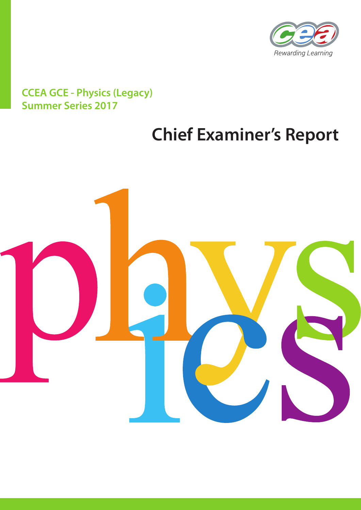

# **CCEA GCE - Physics (Legacy) Summer Series 2017**

# **Chief Examiner's Report**

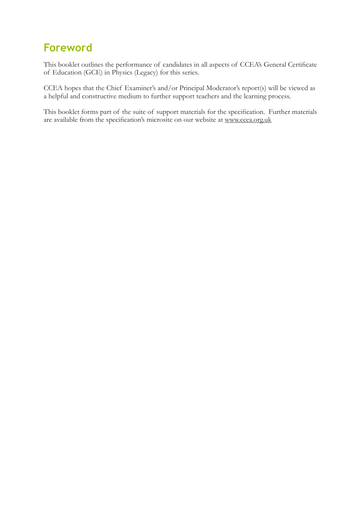# **Foreword**

This booklet outlines the performance of candidates in all aspects of CCEA's General Certificate of Education (GCE) in Physics (Legacy) for this series.

CCEA hopes that the Chief Examiner's and/or Principal Moderator's report(s) will be viewed as a helpful and constructive medium to further support teachers and the learning process.

This booklet forms part of the suite of support materials for the specification. Further materials are available from the specification's microsite on our website at www.ccea.org.uk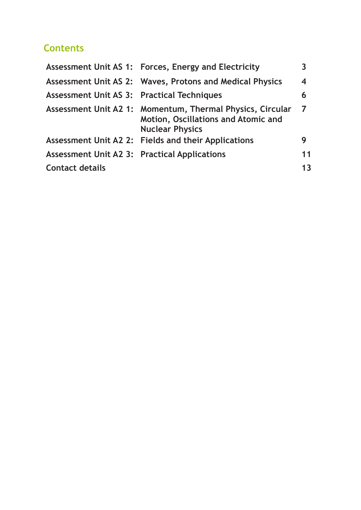## **Contents**

|                                                     | Assessment Unit AS 1: Forces, Energy and Electricity                                                                              | $\overline{\mathbf{3}}$ |
|-----------------------------------------------------|-----------------------------------------------------------------------------------------------------------------------------------|-------------------------|
|                                                     | Assessment Unit AS 2: Waves, Protons and Medical Physics                                                                          | $\overline{\mathbf{4}}$ |
| <b>Assessment Unit AS 3: Practical Techniques</b>   |                                                                                                                                   | 6                       |
|                                                     | Assessment Unit A2 1: Momentum, Thermal Physics, Circular<br><b>Motion, Oscillations and Atomic and</b><br><b>Nuclear Physics</b> | $\overline{7}$          |
|                                                     | Assessment Unit A2 2: Fields and their Applications                                                                               | 9                       |
| <b>Assessment Unit A2 3: Practical Applications</b> |                                                                                                                                   | 11                      |
| <b>Contact details</b>                              |                                                                                                                                   | 13                      |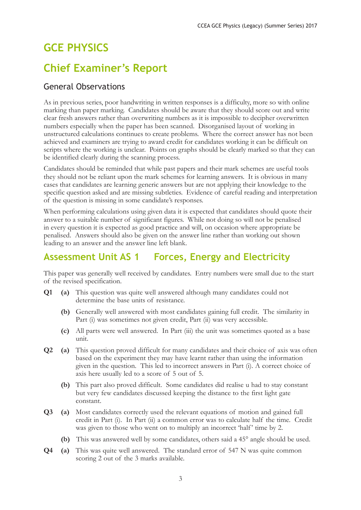# **GCE PHYSICS**

# **Chief Examiner's Report**

#### General Observations

As in previous series, poor handwriting in written responses is a difficulty, more so with online marking than paper marking. Candidates should be aware that they should score out and write clear fresh answers rather than overwriting numbers as it is impossible to decipher overwritten numbers especially when the paper has been scanned. Disorganised layout of working in unstructured calculations continues to create problems. Where the correct answer has not been achieved and examiners are trying to award credit for candidates working it can be difficult on scripts where the working is unclear. Points on graphs should be clearly marked so that they can be identified clearly during the scanning process.

Candidates should be reminded that while past papers and their mark schemes are useful tools they should not be reliant upon the mark schemes for learning answers. It is obvious in many cases that candidates are learning generic answers but are not applying their knowledge to the specific question asked and are missing subtleties. Evidence of careful reading and interpretation of the question is missing in some candidate's responses.

When performing calculations using given data it is expected that candidates should quote their answer to a suitable number of significant figures. While not doing so will not be penalised in every question it is expected as good practice and will, on occasion where appropriate be penalised. Answers should also be given on the answer line rather than working out shown leading to an answer and the answer line left blank.

## **Assessment Unit AS 1 Forces, Energy and Electricity**

This paper was generally well received by candidates. Entry numbers were small due to the start of the revised specification.

- **Q1 (a)** This question was quite well answered although many candidates could not determine the base units of resistance.
	- **(b)** Generally well answered with most candidates gaining full credit. The similarity in Part (i) was sometimes not given credit, Part (ii) was very accessible.
	- **(c)** All parts were well answered. In Part (iii) the unit was sometimes quoted as a base unit.
- **Q2 (a)** This question proved difficult for many candidates and their choice of axis was often based on the experiment they may have learnt rather than using the information given in the question. This led to incorrect answers in Part (i). A correct choice of axis here usually led to a score of 5 out of 5.
	- **(b)** This part also proved difficult. Some candidates did realise u had to stay constant but very few candidates discussed keeping the distance to the first light gate constant.
- **Q3 (a)** Most candidates correctly used the relevant equations of motion and gained full credit in Part (i). In Part (ii) a common error was to calculate half the time. Credit was given to those who went on to multiply an incorrect 'half' time by 2.
	- **(b)** This was answered well by some candidates, others said a 45° angle should be used.
- **Q4 (a)** This was quite well answered. The standard error of 547 N was quite common scoring 2 out of the 3 marks available.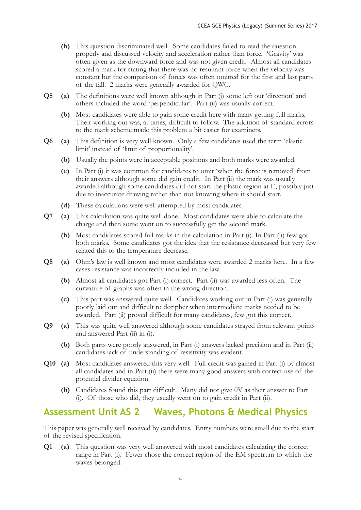- **(b)** This question discriminated well. Some candidates failed to read the question properly and discussed velocity and acceleration rather than force. 'Gravity' was often given as the downward force and was not given credit. Almost all candidates scored a mark for stating that there was no resultant force when the velocity was constant but the comparison of forces was often omitted for the first and last parts of the fall. 2 marks were generally awarded for QWC.
- **Q5 (a)** The definitions were well known although in Part (i) some left out 'direction' and others included the word 'perpendicular'. Part (ii) was usually correct.
	- **(b)** Most candidates were able to gain some credit here with many getting full marks. Their working out was, at times, difficult to follow. The addition of standard errors to the mark scheme made this problem a bit easier for examiners.
- **Q6 (a)** This definition is very well known. Only a few candidates used the term 'elastic limit' instead of 'limit of proportionality'.
	- **(b)** Usually the points were in acceptable positions and both marks were awarded.
	- **(c)** In Part (i) it was common for candidates to omit 'when the force is removed' from their answers although some did gain credit. In Part (ii) the mark was usually awarded although some candidates did not start the plastic region at E, possibly just due to inaccurate drawing rather than not knowing where it should start.
	- **(d)** These calculations were well attempted by most candidates.
- **Q7 (a)** This calculation was quite well done. Most candidates were able to calculate the charge and then some went on to successfully get the second mark.
	- **(b)** Most candidates scored full marks in the calculation in Part (i). In Part (ii) few got both marks. Some candidates got the idea that the resistance decreased but very few related this to the temperature decrease.
- **Q8 (a)** Ohm's law is well known and most candidates were awarded 2 marks here. In a few cases resistance was incorrectly included in the law.
	- **(b)** Almost all candidates got Part (i) correct. Part (ii) was awarded less often. The curvature of graphs was often in the wrong direction.
	- **(c)** This part was answered quite well. Candidates working out in Part (i) was generally poorly laid out and difficult to decipher when intermediate marks needed to be awarded. Part (ii) proved difficult for many candidates, few got this correct.
- **Q9 (a)** This was quite well answered although some candidates strayed from relevant points and answered Part (ii) in (i).
	- **(b)** Both parts were poorly answered, in Part (i) answers lacked precision and in Part (ii) candidates lack of understanding of resistivity was evident.
- **Q10 (a)** Most candidates answered this very well. Full credit was gained in Part (i) by almost all candidates and in Part (ii) there were many good answers with correct use of the potential divider equation.
	- **(b)** Candidates found this part difficult. Many did not give 0V as their answer to Part (i). Of those who did, they usually went on to gain credit in Part (ii).

#### **Assessment Unit AS 2 Waves, Photons & Medical Physics**

This paper was generally well received by candidates. Entry numbers were small due to the start of the revised specification.

**Q1 (a)** This question was very well answered with most candidates calculating the correct range in Part (i). Fewer chose the correct region of the EM spectrum to which the waves belonged.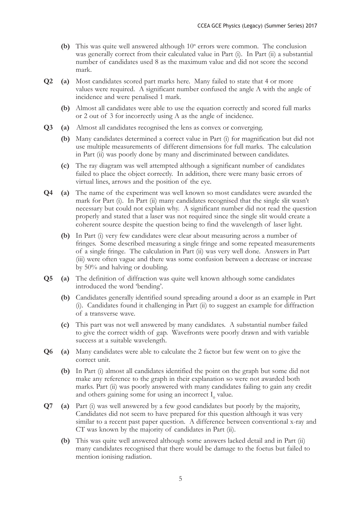- (b) This was quite well answered although 10<sup>n</sup> errors were common. The conclusion was generally correct from their calculated value in Part (i). In Part (ii) a substantial number of candidates used 8 as the maximum value and did not score the second mark.
- **Q2 (a)** Most candidates scored part marks here. Many failed to state that 4 or more values were required. A significant number confused the angle A with the angle of incidence and were penalised 1 mark.
	- **(b)** Almost all candidates were able to use the equation correctly and scored full marks or 2 out of 3 for incorrectly using A as the angle of incidence.
- **Q3 (a)** Almost all candidates recognised the lens as convex or converging.
	- **(b)** Many candidates determined a correct value in Part (i) for magnification but did not use multiple measurements of different dimensions for full marks. The calculation in Part (ii) was poorly done by many and discriminated between candidates.
	- **(c)** The ray diagram was well attempted although a significant number of candidates failed to place the object correctly. In addition, there were many basic errors of virtual lines, arrows and the position of the eye.
- **Q4 (a)** The name of the experiment was well known so most candidates were awarded the mark for Part (i). In Part (ii) many candidates recognised that the single slit wasn't necessary but could not explain why. A significant number did not read the question properly and stated that a laser was not required since the single slit would create a coherent source despite the question being to find the wavelength of laser light.
	- **(b)** In Part (i) very few candidates were clear about measuring across a number of fringes. Some described measuring a single fringe and some repeated measurements of a single fringe. The calculation in Part (ii) was very well done. Answers in Part (iii) were often vague and there was some confusion between a decrease or increase by 50% and halving or doubling.
- **Q5 (a)** The definition of diffraction was quite well known although some candidates introduced the word 'bending'.
	- **(b)** Candidates generally identified sound spreading around a door as an example in Part (i). Candidates found it challenging in Part (ii) to suggest an example for diffraction of a transverse wave.
	- **(c)** This part was not well answered by many candidates. A substantial number failed to give the correct width of gap. Wavefronts were poorly drawn and with variable success at a suitable wavelength.
- **Q6 (a)** Many candidates were able to calculate the 2 factor but few went on to give the correct unit.
	- **(b)** In Part (i) almost all candidates identified the point on the graph but some did not make any reference to the graph in their explanation so were not awarded both marks. Part (ii) was poorly answered with many candidates failing to gain any credit and others gaining some for using an incorrect  $I_0$  value.
- **Q7 (a)** Part (i) was well answered by a few good candidates but poorly by the majority, Candidates did not seem to have prepared for this question although it was very similar to a recent past paper question. A difference between conventional x-ray and CT was known by the majority of candidates in Part (ii).
	- **(b)** This was quite well answered although some answers lacked detail and in Part (ii) many candidates recognised that there would be damage to the foetus but failed to mention ionising radiation.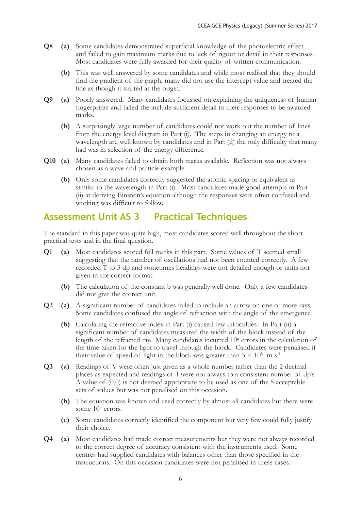- **Q8 (a)** Some candidates demonstrated superficial knowledge of the photoelectric effect and failed to gain maximum marks due to lack of rigour or detail in their responses. Most candidates were fully awarded for their quality of written communication.
	- **(b)** This was well answered by some candidates and while most realised that they should find the gradient of the graph, many did not use the intercept value and treated the line as though it started at the origin.
- **Q9 (a)** Poorly answered. Many candidates focussed on explaining the uniqueness of human fingerprints and failed the include sufficient detail in their responses to be awarded marks.
	- **(b)** A surprisingly large number of candidates could not work out the number of lines from the energy level diagram in Part (i). The steps in changing an energy to a wavelength are well known by candidates and in Part (ii) the only difficulty that many had was in selection of the energy difference.
- **Q10 (a)** Many candidates failed to obtain both marks available. Reflection was not always chosen as a wave and particle example.
	- **(b)** Only some candidates correctly suggested the atomic spacing or equivalent as similar to the wavelength in Part (i). Most candidates made good attempts in Part (ii) at deriving Einstein's equation although the responses were often confused and working was difficult to follow.

## **Assessment Unit AS 3 Practical Techniques**

The standard in this paper was quite high, most candidates scored well throughout the short practical tests and in the final question.

- **Q1 (a)** Most candidates scored full marks in this part. Some values of T seemed small suggesting that the number of oscillations had not been counted correctly. A few recorded T to 3 dp and sometimes headings were not detailed enough or units not given in the correct format.
	- **(b)** The calculation of the constant b was generally well done. Only a few candidates did not give the correct unit.
- **Q2 (a)** A significant number of candidates failed to include an arrow on one or more rays. Some candidates confused the angle of refraction with the angle of the emergence.
	- **(b)** Calculating the refractive index in Part (i) caused few difficulties. In Part (ii) a significant number of candidates measured the width of the block instead of the length of the refracted ray. Many candidates incurred 10<sup>n</sup> errors in the calculation of the time taken for the light to travel through the block. Candidates were penalised if their value of speed of light in the block was greater than  $3 \times 10^8$  m s<sup>-1</sup>.
- **Q3 (a)** Readings of V were often just given as a whole number rather than the 2 decimal places as expected and readings of I were not always to a consistent number of dp's. A value of (0,0) is not deemed appropriate to be used as one of the 5 acceptable sets of values but was not penalised on this occasion.
	- **(b)** The equation was known and used correctly by almost all candidates but there were some 10<sup>n</sup> errors.
	- **(c)** Some candidates correctly identified the component but very few could fully justify their choice.
- **Q4 (a)** Most candidates had made correct measurements but they were not always recorded to the correct degree of accuracy consistent with the instruments used. Some centres had supplied candidates with balances other than those specified in the instructions. On this occasion candidates were not penalised in these cases.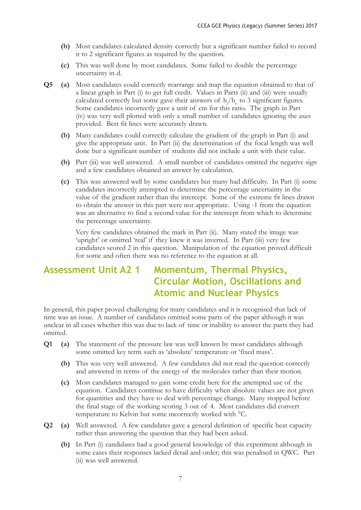- **(b)** Most candidates calculated density correctly but a significant number failed to record it to 2 significant figures as required by the question.
- **(c)** This was well done by most candidates. Some failed to double the percentage uncertainty in d.
- **Q5 (a)** Most candidates could correctly rearrange and map the equation obtained to that of a linear graph in Part (i) to get full credit. Values in Parts (ii) and (iii) were usually calculated correctly but some gave their answers of  $h_1/h_0$  to 3 significant figures. Some candidates incorrectly gave a unit of cm for this ratio. The graph in Part (iv) was very well plotted with only a small number of candidates ignoring the axes provided. Best fit lines were accurately drawn.
	- **(b)** Many candidates could correctly calculate the gradient of the graph in Part (i) and give the appropriate unit. In Part (ii) the determination of the focal length was well done but a significant number of students did not include a unit with their value.
	- **(b)** Part (iii) was well answered. A small number of candidates omitted the negative sign and a few candidates obtained an answer by calculation.
	- **(c)** This was answered well by some candidates but many had difficulty. In Part (i) some candidates incorrectly attempted to determine the percentage uncertainty in the value of the gradient rather than the intercept. Some of the extreme fit lines drawn to obtain the answer in this part were not appropriate. Using -1 from the equation was an alternative to find a second value for the intercept from which to determine the percentage uncertainty.

 Very few candidates obtained the mark in Part (ii). Many stated the image was 'upright' or omitted 'real' if they knew it was inverted. In Part (iii) very few candidates scored 2 in this question. Manipulation of the equation proved difficult for some and often there was no reference to the equation at all.

## **Assessment Unit A2 1 Momentum, Thermal Physics, Circular Motion, Oscillations and Atomic and Nuclear Physics**

In general, this paper proved challenging for many candidates and it is recognised that lack of time was an issue. A number of candidates omitted some parts of the paper although it was unclear in all cases whether this was due to lack of time or inability to answer the parts they had omitted.

- **Q1 (a)** The statement of the pressure law was well known by most candidates although some omitted key term such as 'absolute' temperature or 'fixed mass'.
	- **(b)** This was very well answered. A few candidates did not read the question correctly and answered in terms of the energy of the molecules rather than their motion.
	- **(c)** Most candidates managed to gain some credit here for the attempted use of the equation. Candidates continue to have difficulty when absolute values are not given for quantities and they have to deal with percentage change. Many stopped before the final stage of the working scoring 3 out of 4. Most candidates did convert temperature to Kelvin but some incorrectly worked with °C.
- **Q2 (a)** Well answered. A few candidates gave a general definition of specific heat capacity rather than answering the question that they had been asked.
	- **(b)** In Part (i) candidates had a good general knowledge of this experiment although in some cases their responses lacked detail and order; this was penalised in QWC. Part (ii) was well answered.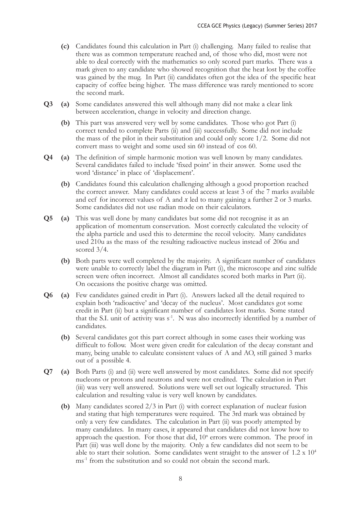- **(c)** Candidates found this calculation in Part (i) challenging. Many failed to realise that there was as common temperature reached and, of those who did, most were not able to deal correctly with the mathematics so only scored part marks. There was a mark given to any candidate who showed recognition that the heat lost by the coffee was gained by the mug. In Part (ii) candidates often got the idea of the specific heat capacity of coffee being higher. The mass difference was rarely mentioned to score the second mark.
- **Q3 (a)** Some candidates answered this well although many did not make a clear link between acceleration, change in velocity and direction change.
	- **(b)** This part was answered very well by some candidates. Those who got Part (i) correct tended to complete Parts (ii) and (iii) successfully. Some did not include the mass of the pilot in their substitution and could only score 1/2. Some did not convert mass to weight and some used sin 60 instead of cos 60.
- **Q4 (a)** The definition of simple harmonic motion was well known by many candidates. Several candidates failed to include 'fixed point' in their answer. Some used the word 'distance' in place of 'displacement'.
	- **(b)** Candidates found this calculation challenging although a good proportion reached the correct answer. Many candidates could access at least 3 of the 7 marks available and ecf for incorrect values of A and *x* led to many gaining a further 2 or 3 marks. Some candidates did not use radian mode on their calculators.
- **Q5 (a)** This was well done by many candidates but some did not recognise it as an application of momentum conservation. Most correctly calculated the velocity of the alpha particle and used this to determine the recoil velocity. Many candidates used 210u as the mass of the resulting radioactive nucleus instead of 206u and scored  $3/4$ .
	- **(b)** Both parts were well completed by the majority. A significant number of candidates were unable to correctly label the diagram in Part (i), the microscope and zinc sulfide screen were often incorrect. Almost all candidates scored both marks in Part (ii). On occasions the positive charge was omitted.
- **Q6 (a)** Few candidates gained credit in Part (i). Answers lacked all the detail required to explain both 'radioactive' and 'decay of the nucleus'. Most candidates got some credit in Part (ii) but a significant number of candidates lost marks. Some stated that the S.I. unit of activity was s<sup>-1</sup>. N was also incorrectly identified by a number of candidates.
	- **(b)** Several candidates got this part correct although in some cases their working was difficult to follow. Most were given credit for calculation of the decay constant and many, being unable to calculate consistent values of A and AO, still gained 3 marks out of a possible 4.
- **Q7 (a)** Both Parts (i) and (ii) were well answered by most candidates. Some did not specify nucleons or protons and neutrons and were not credited. The calculation in Part (iii) was very well answered. Solutions were well set out logically structured. This calculation and resulting value is very well known by candidates.
	- **(b)** Many candidates scored 2/3 in Part (i) with correct explanation of nuclear fusion and stating that high temperatures were required. The 3rd mark was obtained by only a very few candidates. The calculation in Part (ii) was poorly attempted by many candidates. In many cases, it appeared that candidates did not know how to approach the question. For those that did,  $10<sup>n</sup>$  errors were common. The proof in Part (iii) was well done by the majority. Only a few candidates did not seem to be able to start their solution. Some candidates went straight to the answer of  $1.2 \times 10^4$ ms<sup>-1</sup> from the substitution and so could not obtain the second mark.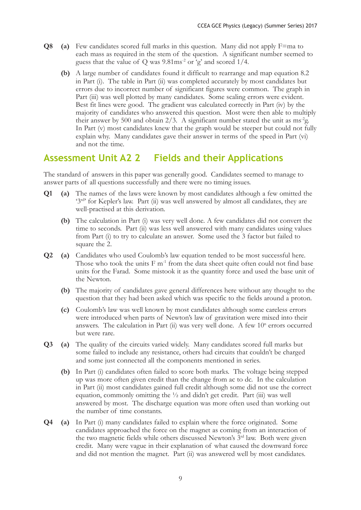- **Q8 (a)** Few candidates scored full marks in this question. Many did not apply F=ma to each mass as required in the stem of the question. A significant number seemed to guess that the value of  $Q$  was  $9.81 \text{ms}^2$  or 'g' and scored  $1/4$ .
	- **(b)** A large number of candidates found it difficult to rearrange and map equation 8.2 in Part (i). The table in Part (ii) was completed accurately by most candidates but errors due to incorrect number of significant figures were common. The graph in Part (iii) was well plotted by many candidates. Some scaling errors were evident. Best fit lines were good. The gradient was calculated correctly in Part (iv) by the majority of candidates who answered this question. Most were then able to multiply their answer by 500 and obtain  $2/3$ . A significant number stated the unit as ms<sup>-2</sup>g. In Part (v) most candidates knew that the graph would be steeper but could not fully explain why. Many candidates gave their answer in terms of the speed in Part (vi) and not the time.

### **Assessment Unit A2 2 Fields and their Applications**

The standard of answers in this paper was generally good. Candidates seemed to manage to answer parts of all questions successfully and there were no timing issues.

- **Q1 (a)** The names of the laws were known by most candidates although a few omitted the '3rd' for Kepler's law. Part (ii) was well answered by almost all candidates, they are well-practised at this derivation.
	- **(b)** The calculation in Part (i) was very well done. A few candidates did not convert the time to seconds. Part (ii) was less well answered with many candidates using values from Part (i) to try to calculate an answer. Some used the 3 factor but failed to square the 2.
- **Q2 (a)** Candidates who used Coulomb's law equation tended to be most successful here. Those who took the units  $F m^{-1}$  from the data sheet quite often could not find base units for the Farad. Some mistook it as the quantity force and used the base unit of the Newton.
	- **(b)** The majority of candidates gave general differences here without any thought to the question that they had been asked which was specific to the fields around a proton.
	- **(c)** Coulomb's law was well known by most candidates although some careless errors were introduced when parts of Newton's law of gravitation were mixed into their answers. The calculation in Part  $(ii)$  was very well done. A few  $10<sup>n</sup>$  errors occurred but were rare.
- **Q3 (a)** The quality of the circuits varied widely. Many candidates scored full marks but some failed to include any resistance, others had circuits that couldn't be charged and some just connected all the components mentioned in series.
	- **(b)** In Part (i) candidates often failed to score both marks. The voltage being stepped up was more often given credit than the change from ac to dc. In the calculation in Part (ii) most candidates gained full credit although some did not use the correct equation, commonly omitting the ½ and didn't get credit. Part (iii) was well answered by most. The discharge equation was more often used than working out the number of time constants.
- **Q4 (a)** In Part (i) many candidates failed to explain where the force originated. Some candidates approached the force on the magnet as coming from an interaction of the two magnetic fields while others discussed Newton's 3<sup>rd</sup> law. Both were given credit. Many were vague in their explanation of what caused the downward force and did not mention the magnet. Part (ii) was answered well by most candidates.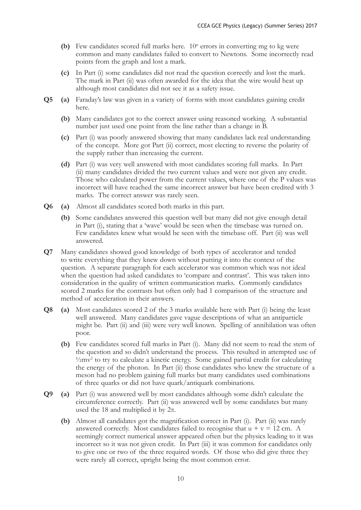- (b) Few candidates scored full marks here.  $10^n$  errors in converting mg to kg were common and many candidates failed to convert to Newtons. Some incorrectly read points from the graph and lost a mark.
- **(c)** In Part (i) some candidates did not read the question correctly and lost the mark. The mark in Part (ii) was often awarded for the idea that the wire would heat up although most candidates did not see it as a safety issue.
- **Q5 (a)** Faraday's law was given in a variety of forms with most candidates gaining credit here.
	- **(b)** Many candidates got to the correct answer using reasoned working. A substantial number just used one point from the line rather than a change in B.
	- **(c)** Part (i) was poorly answered showing that many candidates lack real understanding of the concept. More got Part (ii) correct, most electing to reverse the polarity of the supply rather than increasing the current.
	- **(d)** Part (i) was very well answered with most candidates scoring full marks. In Part (ii) many candidates divided the two current values and were not given any credit. Those who calculated power from the current values, where one of the P values was incorrect will have reached the same incorrect answer but have been credited with 3 marks. The correct answer was rarely seen.
- **Q6 (a)** Almost all candidates scored both marks in this part.
	- **(b)** Some candidates answered this question well but many did not give enough detail in Part (i), stating that a 'wave' would be seen when the timebase was turned on. Few candidates knew what would be seen with the timebase off. Part (ii) was well answered.
- **Q7** Many candidates showed good knowledge of both types of accelerator and tended to write everything that they knew down without putting it into the context of the question. A separate paragraph for each accelerator was common which was not ideal when the question had asked candidates to 'compare and contrast'. This was taken into consideration in the quality of written communication marks. Commonly candidates scored 2 marks for the contrasts but often only had 1 comparison of the structure and method of acceleration in their answers.
- **Q8 (a)** Most candidates scored 2 of the 3 marks available here with Part (i) being the least well answered. Many candidates gave vague descriptions of what an antiparticle might be. Part (ii) and (iii) were very well known. Spelling of annihilation was often poor.
	- **(b)** Few candidates scored full marks in Part (i). Many did not seem to read the stem of the question and so didn't understand the process. This resulted in attempted use of <sup>1</sup>/2mv<sup>2</sup> to try to calculate a kinetic energy. Some gained partial credit for calculating the energy of the photon. In Part (ii) those candidates who knew the structure of a meson had no problem gaining full marks but many candidates used combinations of three quarks or did not have quark/antiquark combinations.
- **Q9 (a)** Part (i) was answered well by most candidates although some didn't calculate the circumference correctly. Part (ii) was answered well by some candidates but many used the 18 and multiplied it by  $2\pi$ .
	- **(b)** Almost all candidates got the magnification correct in Part (i). Part (ii) was rarely answered correctly. Most candidates failed to recognise that  $u + v = 12$  cm. A seemingly correct numerical answer appeared often but the physics leading to it was incorrect so it was not given credit. In Part (iii) it was common for candidates only to give one or two of the three required words. Of those who did give three they were rarely all correct, upright being the most common error.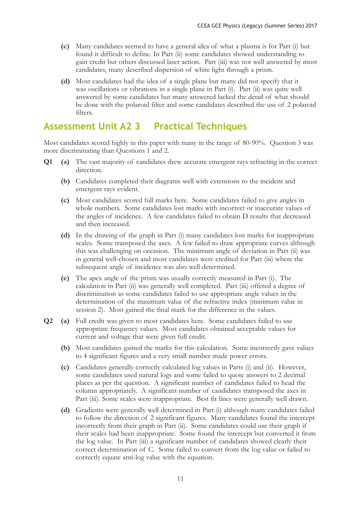- **(c)** Many candidates seemed to have a general idea of what a plasma is for Part (i) but found it difficult to define. In Part (ii) some candidates showed understanding to gain credit but others discussed laser action. Part (iii) was not well answered by most candidates, many described dispersion of white light through a prism.
- **(d)** Most candidates had the idea of a single plane but many did not specify that it was oscillations or vibrations in a single plane in Part (i). Part (ii) was quite well answered by some candidates but many answered lacked the detail of what should be done with the polaroid filter and some candidates described the use of 2 polaroid filters.

### **Assessment Unit A2 3 Practical Techniques**

Most candidates scored highly in this paper with many in the range of 80-90%. Question 3 was more discriminating than Questions 1 and 2.

- **Q1 (a)** The vast majority of candidates drew accurate emergent rays refracting in the correct direction.
	- **(b)** Candidates completed their diagrams well with extensions to the incident and emergent rays evident.
	- **(c)** Most candidates scored full marks here. Some candidates failed to give angles in whole numbers. Some candidates lost marks with incorrect or inaccurate values of the angles of incidence. A few candidates failed to obtain D results that decreased and then increased.
	- **(d)** In the drawing of the graph in Part (i) many candidates lost marks for inappropriate scales. Some transposed the axes. A few failed to draw appropriate curves although this was challenging on occasion. The minimum angle of deviation in Part (ii) was in general well-chosen and most candidates were credited for Part (iii) where the subsequent angle of incidence was also well determined.
	- **(e)** The apex angle of the prism was usually correctly measured in Part (i). The calculation in Part (ii) was generally well completed. Part (iii) offered a degree of discrimination as some candidates failed to use appropriate angle values in the determination of the maximum value of the refractive index (minimum value in session 2). Most gained the final mark for the difference in the values.
- **Q2 (a)** Full credit was given to most candidates here. Some candidates failed to use appropriate frequency values. Most candidates obtained acceptable values for current and voltage that were given full credit.
	- **(b)** Most candidates gained the marks for this calculation. Some incorrectly gave values to 4 significant figures and a very small number made power errors.
	- **(c)** Candidates generally correctly calculated log values in Parts (i) and (ii). However, some candidates used natural logs and some failed to quote answers to 2 decimal places as per the question. A significant number of candidates failed to head the column appropriately. A significant number of candidates transposed the axes in Part (iii). Some scales were inappropriate. Best fit lines were generally well drawn.
	- **(d)** Gradients were generally well determined in Part (i) although many candidates failed to follow the direction of 2 significant figures. Many candidates found the intercept incorrectly from their graph in Part (ii). Some candidates could use their graph if their scales had been inappropriate. Some found the intercept but converted it from the log value. In Part (iii) a significant number of candidates showed clearly their correct determination of C. Some failed to convert from the log value or failed to correctly equate anti-log value with the equation.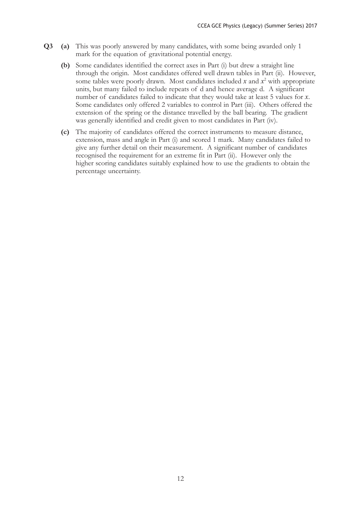- **Q3 (a)** This was poorly answered by many candidates, with some being awarded only 1 mark for the equation of gravitational potential energy.
	- **(b)** Some candidates identified the correct axes in Part (i) but drew a straight line through the origin. Most candidates offered well drawn tables in Part (ii). However, some tables were poorly drawn. Most candidates included  $x$  and  $x^2$  with appropriate units, but many failed to include repeats of d and hence average d. A significant number of candidates failed to indicate that they would take at least 5 values for *x*. Some candidates only offered 2 variables to control in Part (iii). Others offered the extension of the spring or the distance travelled by the ball bearing. The gradient was generally identified and credit given to most candidates in Part (iv).
	- **(c)** The majority of candidates offered the correct instruments to measure distance, extension, mass and angle in Part (i) and scored 1 mark. Many candidates failed to give any further detail on their measurement. A significant number of candidates recognised the requirement for an extreme fit in Part (ii). However only the higher scoring candidates suitably explained how to use the gradients to obtain the percentage uncertainty.